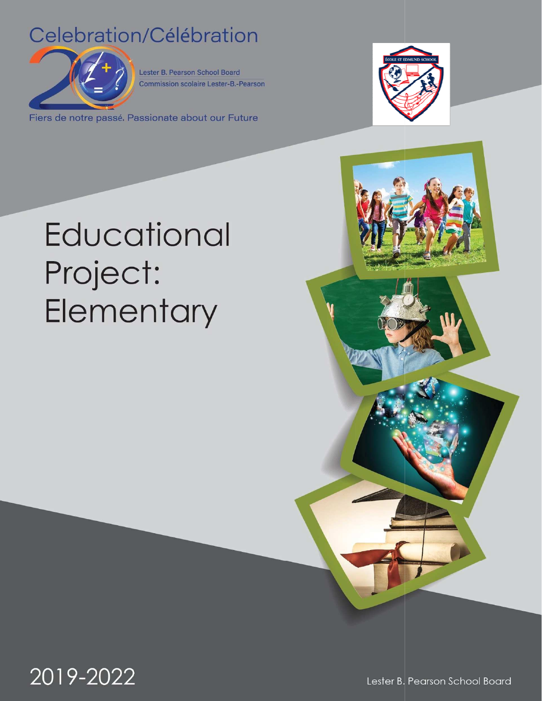## Celebration/Célébration



Lester B. Pearson School Board **Commission scolaire Lester-B.-Pearson** 

Fiers de notre passé. Passionate about our Future



# **Educational** Project: Elementary

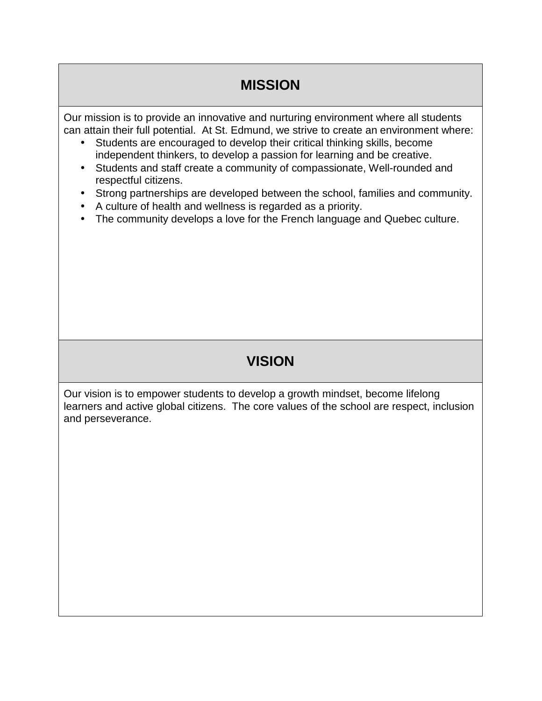#### **MISSION**

Our mission is to provide an innovative and nurturing environment where all students can attain their full potential. At St. Edmund, we strive to create an environment where:

- Students are encouraged to develop their critical thinking skills, become independent thinkers, to develop a passion for learning and be creative.
- Students and staff create a community of compassionate, Well-rounded and respectful citizens.
- Strong partnerships are developed between the school, families and community.
- A culture of health and wellness is regarded as a priority.
- The community develops a love for the French language and Quebec culture.

#### **VISION**

Our vision is to empower students to develop a growth mindset, become lifelong learners and active global citizens. The core values of the school are respect, inclusion and perseverance.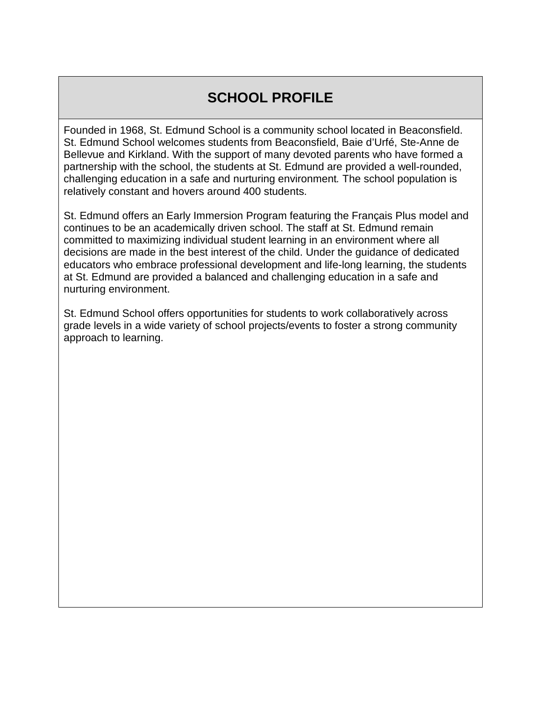### **SCHOOL PROFILE**

Founded in 1968, St. Edmund School is a community school located in Beaconsfield. St. Edmund School welcomes students from Beaconsfield, Baie d'Urfé, Ste-Anne de Bellevue and Kirkland. With the support of many devoted parents who have formed a partnership with the school, the students at St. Edmund are provided a well-rounded, challenging education in a safe and nurturing environment. The school population is relatively constant and hovers around 400 students.

St. Edmund offers an Early Immersion Program featuring the Français Plus model and continues to be an academically driven school. The staff at St. Edmund remain committed to maximizing individual student learning in an environment where all decisions are made in the best interest of the child. Under the guidance of dedicated educators who embrace professional development and life-long learning, the students at St. Edmund are provided a balanced and challenging education in a safe and nurturing environment.

St. Edmund School offers opportunities for students to work collaboratively across grade levels in a wide variety of school projects/events to foster a strong community approach to learning.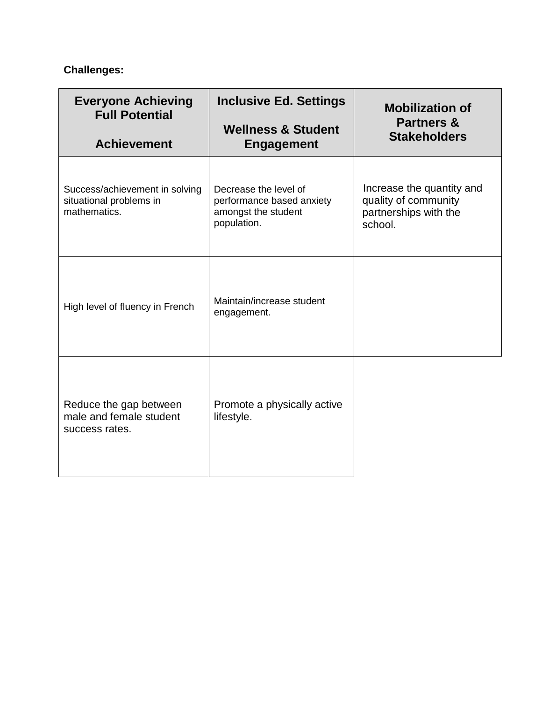#### **Challenges:**

| <b>Everyone Achieving</b><br><b>Full Potential</b><br><b>Achievement</b>  | <b>Inclusive Ed. Settings</b><br><b>Wellness &amp; Student</b><br><b>Engagement</b>      | <b>Mobilization of</b><br><b>Partners &amp;</b><br><b>Stakeholders</b>                |
|---------------------------------------------------------------------------|------------------------------------------------------------------------------------------|---------------------------------------------------------------------------------------|
|                                                                           |                                                                                          |                                                                                       |
| Success/achievement in solving<br>situational problems in<br>mathematics. | Decrease the level of<br>performance based anxiety<br>amongst the student<br>population. | Increase the quantity and<br>quality of community<br>partnerships with the<br>school. |
| High level of fluency in French                                           | Maintain/increase student<br>engagement.                                                 |                                                                                       |
| Reduce the gap between<br>male and female student<br>success rates.       | Promote a physically active<br>lifestyle.                                                |                                                                                       |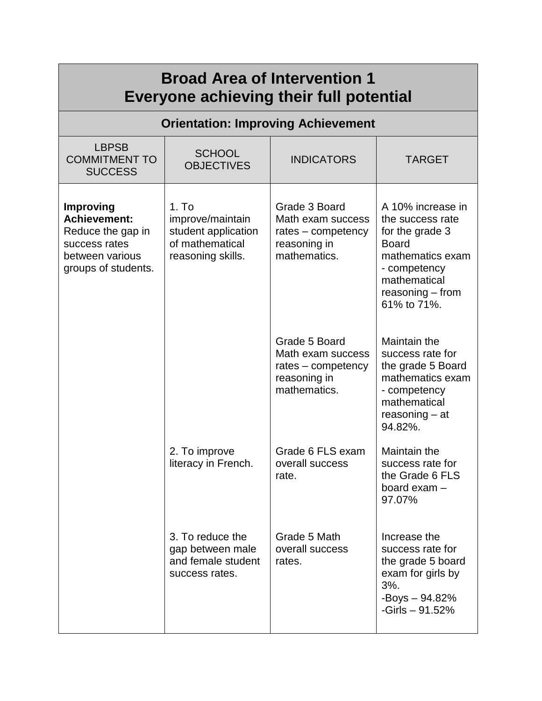| <b>Broad Area of Intervention 1</b><br>Everyone achieving their full potential                                          |                                                                                                      |                                                                                          |                                                                                                                                                                   |  |  |  |
|-------------------------------------------------------------------------------------------------------------------------|------------------------------------------------------------------------------------------------------|------------------------------------------------------------------------------------------|-------------------------------------------------------------------------------------------------------------------------------------------------------------------|--|--|--|
| <b>Orientation: Improving Achievement</b>                                                                               |                                                                                                      |                                                                                          |                                                                                                                                                                   |  |  |  |
| <b>LBPSB</b><br><b>COMMITMENT TO</b><br><b>SUCCESS</b>                                                                  | <b>SCHOOL</b><br><b>OBJECTIVES</b>                                                                   | <b>INDICATORS</b>                                                                        | <b>TARGET</b>                                                                                                                                                     |  |  |  |
| <b>Improving</b><br><b>Achievement:</b><br>Reduce the gap in<br>success rates<br>between various<br>groups of students. | 1. T <sub>O</sub><br>improve/maintain<br>student application<br>of mathematical<br>reasoning skills. | Grade 3 Board<br>Math exam success<br>rates – competency<br>reasoning in<br>mathematics. | A 10% increase in<br>the success rate<br>for the grade 3<br><b>Board</b><br>mathematics exam<br>- competency<br>mathematical<br>$reasoning$ – from<br>61% to 71%. |  |  |  |
|                                                                                                                         |                                                                                                      | Grade 5 Board<br>Math exam success<br>rates - competency<br>reasoning in<br>mathematics. | Maintain the<br>success rate for<br>the grade 5 Board<br>mathematics exam<br>- competency<br>mathematical<br>$reasoning - at$<br>94.82%.                          |  |  |  |
|                                                                                                                         | 2. To improve<br>literacy in French.                                                                 | Grade 6 FLS exam<br>overall success<br>rate.                                             | Maintain the<br>success rate for<br>the Grade 6 FLS<br>board exam -<br>97.07%                                                                                     |  |  |  |
|                                                                                                                         | 3. To reduce the<br>gap between male<br>and female student<br>success rates.                         | Grade 5 Math<br>overall success<br>rates.                                                | Increase the<br>success rate for<br>the grade 5 board<br>exam for girls by<br>3%.<br>$-Boys - 94.82%$<br>$-Girls - 91.52%$                                        |  |  |  |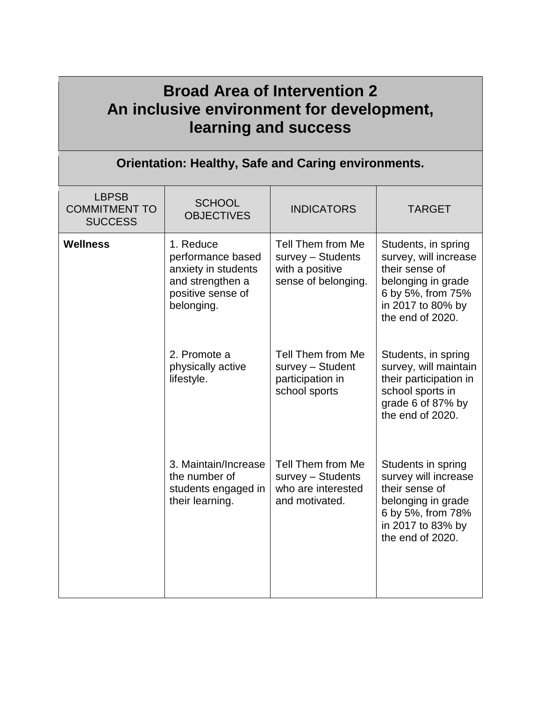| <b>Broad Area of Intervention 2</b><br>An inclusive environment for development,<br>learning and success |                                                                                                              |                                                                                  |                                                                                                                                                    |  |  |  |
|----------------------------------------------------------------------------------------------------------|--------------------------------------------------------------------------------------------------------------|----------------------------------------------------------------------------------|----------------------------------------------------------------------------------------------------------------------------------------------------|--|--|--|
| <b>Orientation: Healthy, Safe and Caring environments.</b>                                               |                                                                                                              |                                                                                  |                                                                                                                                                    |  |  |  |
| <b>LBPSB</b><br><b>COMMITMENT TO</b><br><b>SUCCESS</b>                                                   | <b>SCHOOL</b><br><b>OBJECTIVES</b>                                                                           | <b>INDICATORS</b>                                                                | <b>TARGET</b>                                                                                                                                      |  |  |  |
| <b>Wellness</b>                                                                                          | 1. Reduce<br>performance based<br>anxiety in students<br>and strengthen a<br>positive sense of<br>belonging. | Tell Them from Me<br>survey - Students<br>with a positive<br>sense of belonging. | Students, in spring<br>survey, will increase<br>their sense of<br>belonging in grade<br>6 by 5%, from 75%<br>in 2017 to 80% by<br>the end of 2020. |  |  |  |
|                                                                                                          | 2. Promote a<br>physically active<br>lifestyle.                                                              | Tell Them from Me<br>survey - Student<br>participation in<br>school sports       | Students, in spring<br>survey, will maintain<br>their participation in<br>school sports in<br>grade 6 of 87% by<br>the end of 2020.                |  |  |  |
|                                                                                                          | 3. Maintain/Increase<br>the number of<br>students engaged in<br>their learning.                              | Tell Them from Me<br>survey - Students<br>who are interested<br>and motivated.   | Students in spring<br>survey will increase<br>their sense of<br>belonging in grade<br>6 by 5%, from 78%<br>in 2017 to 83% by<br>the end of 2020.   |  |  |  |

÷,